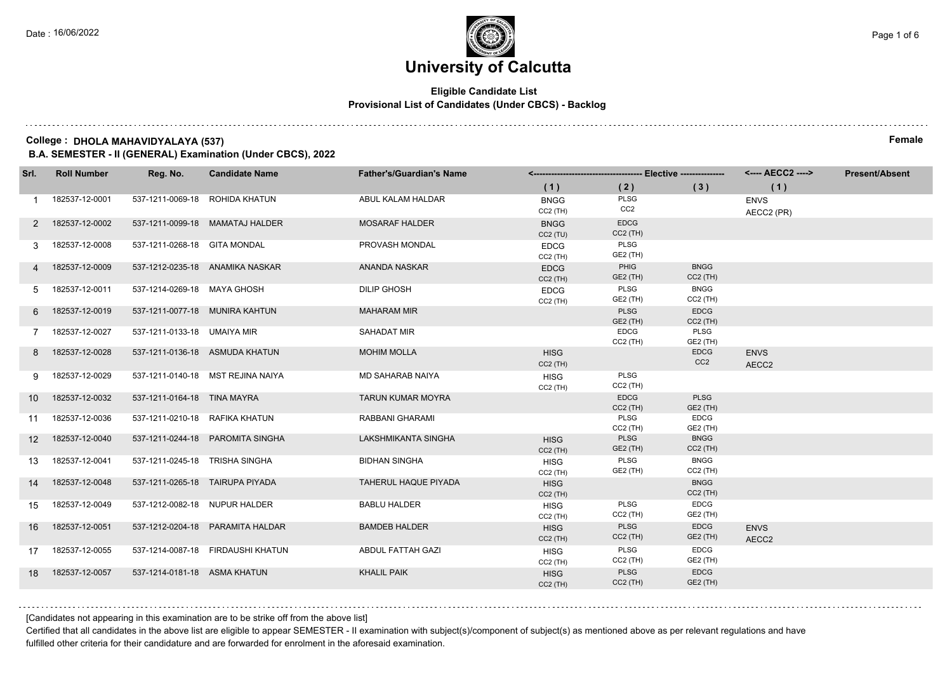## **Eligible Candidate List Provisional List of Candidates (Under CBCS) - Backlog**

### **College : DHOLA MAHAVIDYALAYA (537) Female**

**B.A. SEMESTER - II (GENERAL) Examination (Under CBCS), 2022**

| Srl.            | <b>Roll Number</b> | Reg. No.                       | <b>Candidate Name</b>             | <b>Father's/Guardian's Name</b> |                           |                           |                                |                                  | <b>Present/Absent</b> |
|-----------------|--------------------|--------------------------------|-----------------------------------|---------------------------------|---------------------------|---------------------------|--------------------------------|----------------------------------|-----------------------|
|                 |                    |                                |                                   |                                 | (1)                       | (2)                       | (3)                            | (1)                              |                       |
|                 | 182537-12-0001     |                                | 537-1211-0069-18 ROHIDA KHATUN    | ABUL KALAM HALDAR               | <b>BNGG</b><br>$CC2$ (TH) | PLSG<br>CC <sub>2</sub>   |                                | <b>ENVS</b><br>AECC2 (PR)        |                       |
| 2               | 182537-12-0002     |                                | 537-1211-0099-18 MAMATAJ HALDER   | <b>MOSARAF HALDER</b>           | <b>BNGG</b><br>CC2(TU)    | <b>EDCG</b><br>$CC2$ (TH) |                                |                                  |                       |
| 3               | 182537-12-0008     | 537-1211-0268-18 GITA MONDAL   |                                   | PROVASH MONDAL                  | <b>EDCG</b><br>$CC2$ (TH) | PLSG<br>GE2 (TH)          |                                |                                  |                       |
|                 | 182537-12-0009     |                                | 537-1212-0235-18 ANAMIKA NASKAR   | ANANDA NASKAR                   | <b>EDCG</b><br>$CC2$ (TH) | PHIG<br>GE2 (TH)          | <b>BNGG</b><br>$CC2$ (TH)      |                                  |                       |
| 5               | 182537-12-0011     | 537-1214-0269-18 MAYA GHOSH    |                                   | <b>DILIP GHOSH</b>              | <b>EDCG</b><br>$CC2$ (TH) | <b>PLSG</b><br>GE2 (TH)   | <b>BNGG</b><br>$CC2$ (TH)      |                                  |                       |
| 6               | 182537-12-0019     |                                | 537-1211-0077-18 MUNIRA KAHTUN    | <b>MAHARAM MIR</b>              |                           | PLSG<br>GE2 (TH)          | <b>EDCG</b><br>$CC2$ (TH)      |                                  |                       |
|                 | 182537-12-0027     | 537-1211-0133-18 UMAIYA MIR    |                                   | <b>SAHADAT MIR</b>              |                           | <b>EDCG</b><br>$CC2$ (TH) | PLSG<br>GE2 (TH)               |                                  |                       |
| 8               | 182537-12-0028     |                                | 537-1211-0136-18 ASMUDA KHATUN    | <b>MOHIM MOLLA</b>              | <b>HISG</b><br>$CC2$ (TH) |                           | <b>EDCG</b><br>CC <sub>2</sub> | <b>ENVS</b><br>AECC <sub>2</sub> |                       |
| 9               | 182537-12-0029     |                                | 537-1211-0140-18 MST REJINA NAIYA | MD SAHARAB NAIYA                | <b>HISG</b><br>$CC2$ (TH) | PLSG<br>$CC2$ (TH)        |                                |                                  |                       |
| 10 <sup>°</sup> | 182537-12-0032     | 537-1211-0164-18 TINA MAYRA    |                                   | TARUN KUMAR MOYRA               |                           | <b>EDCG</b><br>$CC2$ (TH) | <b>PLSG</b><br>GE2 (TH)        |                                  |                       |
| 11              | 182537-12-0036     | 537-1211-0210-18 RAFIKA KHATUN |                                   | RABBANI GHARAMI                 |                           | PLSG<br>$CC2$ (TH)        | <b>EDCG</b><br>GE2 (TH)        |                                  |                       |
| 12              | 182537-12-0040     |                                | 537-1211-0244-18 PAROMITA SINGHA  | <b>LAKSHMIKANTA SINGHA</b>      | <b>HISG</b><br>$CC2$ (TH) | PLSG<br>GE2 (TH)          | <b>BNGG</b><br>$CC2$ (TH)      |                                  |                       |
| 13              | 182537-12-0041     | 537-1211-0245-18 TRISHA SINGHA |                                   | <b>BIDHAN SINGHA</b>            | <b>HISG</b><br>$CC2$ (TH) | PLSG<br>GE2 (TH)          | <b>BNGG</b><br>$CC2$ (TH)      |                                  |                       |
| 14              | 182537-12-0048     |                                | 537-1211-0265-18 TAIRUPA PIYADA   | <b>TAHERUL HAQUE PIYADA</b>     | <b>HISG</b><br>$CC2$ (TH) |                           | <b>BNGG</b><br>$CC2$ (TH)      |                                  |                       |
| 15              | 182537-12-0049     | 537-1212-0082-18 NUPUR HALDER  |                                   | <b>BABLU HALDER</b>             | <b>HISG</b><br>$CC2$ (TH) | PLSG<br>$CC2$ (TH)        | <b>EDCG</b><br>GE2 (TH)        |                                  |                       |
| 16              | 182537-12-0051     |                                | 537-1212-0204-18 PARAMITA HALDAR  | <b>BAMDEB HALDER</b>            | <b>HISG</b><br>$CC2$ (TH) | <b>PLSG</b><br>$CC2$ (TH) | <b>EDCG</b><br>GE2 (TH)        | <b>ENVS</b><br>AECC <sub>2</sub> |                       |
| 17              | 182537-12-0055     |                                | 537-1214-0087-18 FIRDAUSHI KHATUN | ABDUL FATTAH GAZI               | <b>HISG</b><br>$CC2$ (TH) | <b>PLSG</b><br>$CC2$ (TH) | <b>EDCG</b><br>GE2 (TH)        |                                  |                       |
| 18              | 182537-12-0057     | 537-1214-0181-18 ASMA KHATUN   |                                   | <b>KHALIL PAIK</b>              | <b>HISG</b><br>$CC2$ (TH) | PLSG<br>$CC2$ (TH)        | <b>EDCG</b><br>GE2 (TH)        |                                  |                       |

[Candidates not appearing in this examination are to be strike off from the above list]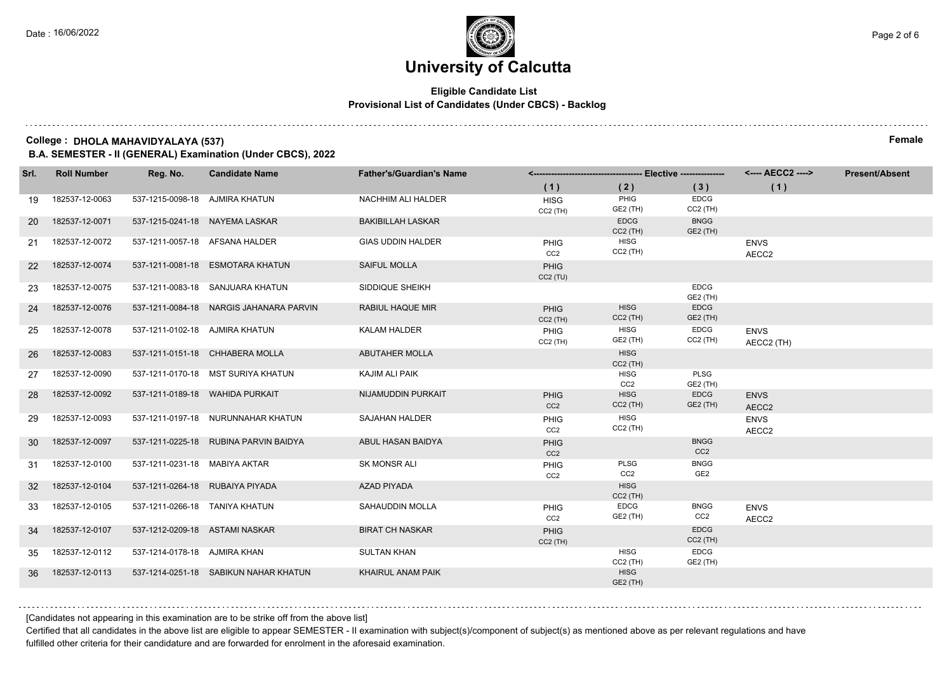## **Eligible Candidate List Provisional List of Candidates (Under CBCS) - Backlog**

### **College : DHOLA MAHAVIDYALAYA (537) Female**

**B.A. SEMESTER - II (GENERAL) Examination (Under CBCS), 2022**

| Srl. | <b>Roll Number</b> | Reg. No.                       | <b>Candidate Name</b>                   | <b>Father's/Guardian's Name</b> |                                |                                |                                |                           | <b>Present/Absent</b> |
|------|--------------------|--------------------------------|-----------------------------------------|---------------------------------|--------------------------------|--------------------------------|--------------------------------|---------------------------|-----------------------|
|      |                    |                                |                                         |                                 | (1)                            | (2)                            | (3)                            | (1)                       |                       |
| 19   | 182537-12-0063     | 537-1215-0098-18 AJMIRA KHATUN |                                         | NACHHIM ALI HALDER              | <b>HISG</b><br>$CC2$ (TH)      | PHIG<br>GE2 (TH)               | <b>EDCG</b><br>$CC2$ (TH)      |                           |                       |
| -20  | 182537-12-0071     |                                | 537-1215-0241-18 NAYEMA LASKAR          | <b>BAKIBILLAH LASKAR</b>        |                                | <b>EDCG</b><br>$CC2$ (TH)      | <b>BNGG</b><br>GE2 (TH)        |                           |                       |
| 21   | 182537-12-0072     |                                | 537-1211-0057-18 AFSANA HALDER          | <b>GIAS UDDIN HALDER</b>        | <b>PHIG</b><br>CC2             | <b>HISG</b><br>$CC2$ (TH)      |                                | <b>ENVS</b><br>AECC2      |                       |
| 22   | 182537-12-0074     |                                | 537-1211-0081-18 ESMOTARA KHATUN        | <b>SAIFUL MOLLA</b>             | <b>PHIG</b><br>CC2(TU)         |                                |                                |                           |                       |
| 23   | 182537-12-0075     |                                | 537-1211-0083-18 SANJUARA KHATUN        | SIDDIQUE SHEIKH                 |                                |                                | <b>EDCG</b><br>GE2 (TH)        |                           |                       |
| 24   | 182537-12-0076     |                                | 537-1211-0084-18 NARGIS JAHANARA PARVIN | RABIUL HAQUE MIR                | <b>PHIG</b><br>$CC2$ (TH)      | <b>HISG</b><br>$CC2$ (TH)      | <b>EDCG</b><br>GE2 (TH)        |                           |                       |
| 25   | 182537-12-0078     | 537-1211-0102-18 AJMIRA KHATUN |                                         | <b>KALAM HALDER</b>             | PHIG<br>$CC2$ (TH)             | <b>HISG</b><br>GE2 (TH)        | <b>EDCG</b><br>$CC2$ (TH)      | <b>ENVS</b><br>AECC2 (TH) |                       |
| 26   | 182537-12-0083     |                                | 537-1211-0151-18 CHHABERA MOLLA         | <b>ABUTAHER MOLLA</b>           |                                | <b>HISG</b><br>$CC2$ (TH)      |                                |                           |                       |
| 27   | 182537-12-0090     |                                | 537-1211-0170-18 MST SURIYA KHATUN      | KAJIM ALI PAIK                  |                                | <b>HISG</b><br>CC <sub>2</sub> | PLSG<br>GE2 (TH)               |                           |                       |
| 28   | 182537-12-0092     |                                | 537-1211-0189-18 WAHIDA PURKAIT         | NIJAMUDDIN PURKAIT              | <b>PHIG</b><br>CC <sub>2</sub> | <b>HISG</b><br>$CC2$ (TH)      | <b>EDCG</b><br>GE2 (TH)        | <b>ENVS</b><br>AECC2      |                       |
| 29   | 182537-12-0093     |                                | 537-1211-0197-18 NURUNNAHAR KHATUN      | SAJAHAN HALDER                  | PHIG<br>CC <sub>2</sub>        | <b>HISG</b><br>$CC2$ (TH)      |                                | <b>ENVS</b><br>AECC2      |                       |
| 30   | 182537-12-0097     |                                | 537-1211-0225-18 RUBINA PARVIN BAIDYA   | ABUL HASAN BAIDYA               | <b>PHIG</b><br>CC <sub>2</sub> |                                | <b>BNGG</b><br>CC <sub>2</sub> |                           |                       |
| 31   | 182537-12-0100     | 537-1211-0231-18 MABIYA AKTAR  |                                         | SK MONSR ALI                    | PHIG<br>CC <sub>2</sub>        | PLSG<br>CC <sub>2</sub>        | <b>BNGG</b><br>GE <sub>2</sub> |                           |                       |
| 32   | 182537-12-0104     |                                | 537-1211-0264-18 RUBAIYA PIYADA         | <b>AZAD PIYADA</b>              |                                | <b>HISG</b><br>$CC2$ (TH)      |                                |                           |                       |
| 33   | 182537-12-0105     | 537-1211-0266-18 TANIYA KHATUN |                                         | SAHAUDDIN MOLLA                 | PHIG<br>CC <sub>2</sub>        | EDCG<br>GE2 (TH)               | <b>BNGG</b><br>CC <sub>2</sub> | <b>ENVS</b><br>AECC2      |                       |
| 34   | 182537-12-0107     | 537-1212-0209-18 ASTAMI NASKAR |                                         | <b>BIRAT CH NASKAR</b>          | <b>PHIG</b><br>$CC2$ (TH)      |                                | <b>EDCG</b><br>$CC2$ (TH)      |                           |                       |
| 35   | 182537-12-0112     | 537-1214-0178-18 AJMIRA KHAN   |                                         | <b>SULTAN KHAN</b>              |                                | <b>HISG</b><br>$CC2$ (TH)      | <b>EDCG</b><br>GE2 (TH)        |                           |                       |
| 36   | 182537-12-0113     |                                | 537-1214-0251-18 SABIKUN NAHAR KHATUN   | KHAIRUL ANAM PAIK               |                                | <b>HISG</b><br>GE2 (TH)        |                                |                           |                       |

[Candidates not appearing in this examination are to be strike off from the above list]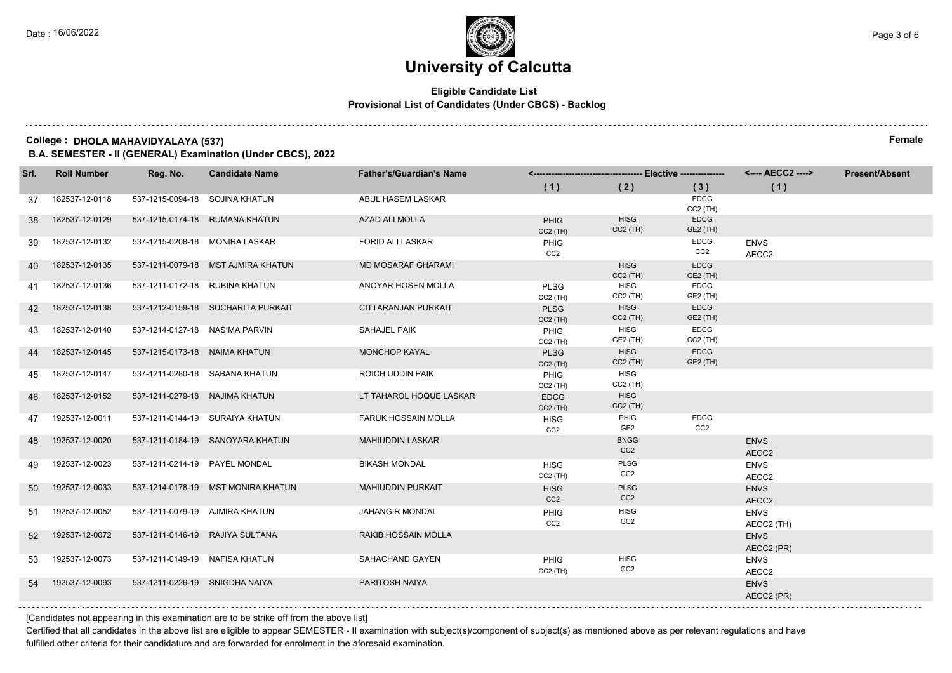## **Eligible Candidate List Provisional List of Candidates (Under CBCS) - Backlog**

### **College : DHOLA MAHAVIDYALAYA (537) Female**

**B.A. SEMESTER - II (GENERAL) Examination (Under CBCS), 2022**

| Srl. | <b>Roll Number</b> | Reg. No.                       | <b>Candidate Name</b>              | <b>Father's/Guardian's Name</b> |                                |                                |                                     | <---- AECC2 ---->         | <b>Present/Absent</b> |
|------|--------------------|--------------------------------|------------------------------------|---------------------------------|--------------------------------|--------------------------------|-------------------------------------|---------------------------|-----------------------|
|      |                    |                                |                                    |                                 | (1)                            | (2)                            | (3)                                 | (1)                       |                       |
| 37   | 182537-12-0118     | 537-1215-0094-18 SOJINA KHATUN |                                    | ABUL HASEM LASKAR               |                                |                                | <b>EDCG</b><br>CC <sub>2</sub> (TH) |                           |                       |
| 38   | 182537-12-0129     |                                | 537-1215-0174-18 RUMANA KHATUN     | <b>AZAD ALI MOLLA</b>           | <b>PHIG</b><br>$CC2$ (TH)      | <b>HISG</b><br>$CC2$ (TH)      | <b>EDCG</b><br>GE2 (TH)             |                           |                       |
| 39   | 182537-12-0132     |                                | 537-1215-0208-18 MONIRA LASKAR     | <b>FORID ALI LASKAR</b>         | <b>PHIG</b><br>CC <sub>2</sub> |                                | <b>EDCG</b><br>CC <sub>2</sub>      | <b>ENVS</b><br>AECC2      |                       |
| 40   | 182537-12-0135     |                                | 537-1211-0079-18 MST AJMIRA KHATUN | <b>MD MOSARAF GHARAMI</b>       |                                | <b>HISG</b><br>$CC2$ (TH)      | <b>EDCG</b><br><b>GE2 (TH)</b>      |                           |                       |
| 41   | 182537-12-0136     |                                | 537-1211-0172-18 RUBINA KHATUN     | ANOYAR HOSEN MOLLA              | PLSG<br>$CC2$ (TH)             | <b>HISG</b><br>$CC2$ (TH)      | <b>EDCG</b><br>GE2 (TH)             |                           |                       |
| 42   | 182537-12-0138     |                                | 537-1212-0159-18 SUCHARITA PURKAIT | <b>CITTARANJAN PURKAIT</b>      | <b>PLSG</b><br>$CC2$ (TH)      | <b>HISG</b><br>$CC2$ (TH)      | <b>EDCG</b><br>GE2 (TH)             |                           |                       |
| 43   | 182537-12-0140     | 537-1214-0127-18 NASIMA PARVIN |                                    | SAHAJEL PAIK                    | PHIG<br>$CC2$ (TH)             | <b>HISG</b><br>GE2 (TH)        | <b>EDCG</b><br>$CC2$ (TH)           |                           |                       |
| 44   | 182537-12-0145     | 537-1215-0173-18 NAIMA KHATUN  |                                    | <b>MONCHOP KAYAL</b>            | <b>PLSG</b><br>$CC2$ (TH)      | <b>HISG</b><br>$CC2$ (TH)      | <b>EDCG</b><br>GE2 (TH)             |                           |                       |
| 45   | 182537-12-0147     |                                | 537-1211-0280-18 SABANA KHATUN     | ROICH UDDIN PAIK                | PHIG<br>$CC2$ (TH)             | <b>HISG</b><br>$CC2$ (TH)      |                                     |                           |                       |
| 46   | 182537-12-0152     | 537-1211-0279-18 NAJIMA KHATUN |                                    | LT TAHAROL HOQUE LASKAR         | <b>EDCG</b><br>$CC2$ (TH)      | <b>HISG</b><br>$CC2$ (TH)      |                                     |                           |                       |
| 47   | 192537-12-0011     |                                | 537-1211-0144-19 SURAIYA KHATUN    | <b>FARUK HOSSAIN MOLLA</b>      | <b>HISG</b><br>CC <sub>2</sub> | PHIG<br>GE <sub>2</sub>        | <b>EDCG</b><br>CC <sub>2</sub>      |                           |                       |
| 48   | 192537-12-0020     |                                | 537-1211-0184-19 SANOYARA KHATUN   | <b>MAHIUDDIN LASKAR</b>         |                                | <b>BNGG</b><br>CC <sub>2</sub> |                                     | <b>ENVS</b><br>AECC2      |                       |
| 49   | 192537-12-0023     | 537-1211-0214-19 PAYEL MONDAL  |                                    | <b>BIKASH MONDAL</b>            | <b>HISG</b><br>$CC2$ (TH)      | PLSG<br>CC <sub>2</sub>        |                                     | <b>ENVS</b><br>AECC2      |                       |
| 50   | 192537-12-0033     |                                | 537-1214-0178-19 MST MONIRA KHATUN | <b>MAHIUDDIN PURKAIT</b>        | <b>HISG</b><br>CC <sub>2</sub> | PLSG<br>CC <sub>2</sub>        |                                     | <b>ENVS</b><br>AECC2      |                       |
| -51  | 192537-12-0052     |                                | 537-1211-0079-19 AJMIRA KHATUN     | <b>JAHANGIR MONDAL</b>          | PHIG<br>CC <sub>2</sub>        | <b>HISG</b><br>CC2             |                                     | <b>ENVS</b><br>AECC2 (TH) |                       |
| 52   | 192537-12-0072     |                                | 537-1211-0146-19 RAJIYA SULTANA    | RAKIB HOSSAIN MOLLA             |                                |                                |                                     | <b>ENVS</b><br>AECC2 (PR) |                       |
| 53   | 192537-12-0073     | 537-1211-0149-19 NAFISA KHATUN |                                    | SAHACHAND GAYEN                 | PHIG<br>$CC2$ (TH)             | <b>HISG</b><br>CC <sub>2</sub> |                                     | <b>ENVS</b><br>AECC2      |                       |
| 54   | 192537-12-0093     | 537-1211-0226-19 SNIGDHA NAIYA |                                    | PARITOSH NAIYA                  |                                |                                |                                     | <b>ENVS</b><br>AECC2 (PR) |                       |

[Candidates not appearing in this examination are to be strike off from the above list]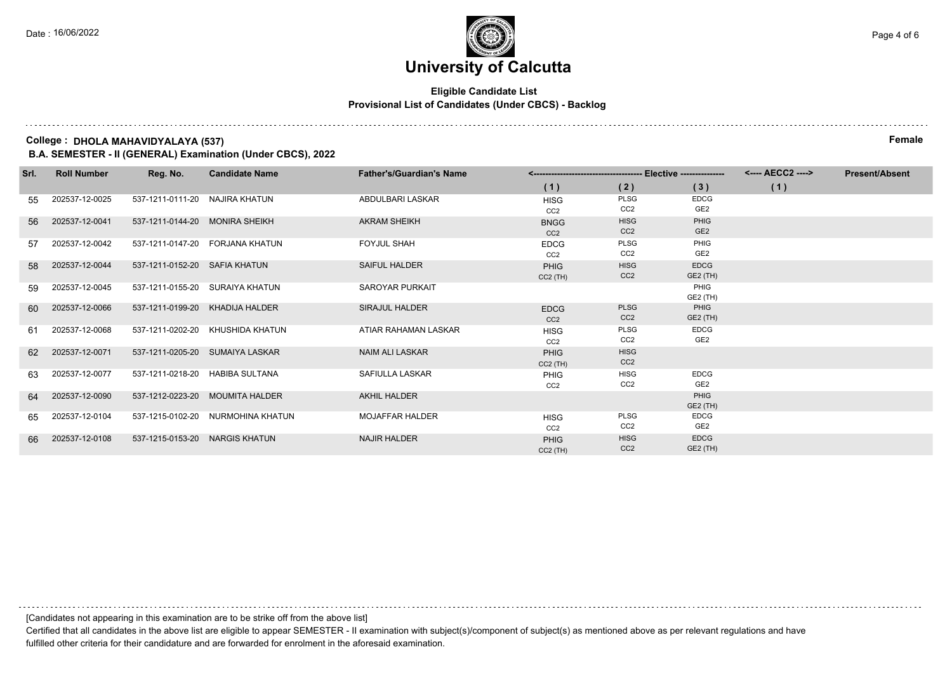## **Eligible Candidate List Provisional List of Candidates (Under CBCS) - Backlog**

### **College : DHOLA MAHAVIDYALAYA (537) Female**

**B.A. SEMESTER - II (GENERAL) Examination (Under CBCS), 2022**

| Srl. | <b>Roll Number</b> | Reg. No.                       | <b>Candidate Name</b>             | <b>Father's/Guardian's Name</b> |                                |                                | <---- AECC2 ---->       | <b>Present/Absent</b> |  |
|------|--------------------|--------------------------------|-----------------------------------|---------------------------------|--------------------------------|--------------------------------|-------------------------|-----------------------|--|
|      |                    |                                |                                   |                                 | (1)                            | (2)                            | (3)                     | (1)                   |  |
| 55   | 202537-12-0025     | 537-1211-0111-20 NAJIRA KHATUN |                                   | ABDULBARI LASKAR                | <b>HISG</b>                    | <b>PLSG</b><br>CC <sub>2</sub> | <b>EDCG</b><br>GE2      |                       |  |
|      |                    |                                |                                   |                                 | CC <sub>2</sub>                |                                |                         |                       |  |
| 56   | 202537-12-0041     | 537-1211-0144-20 MONIRA SHEIKH |                                   | <b>AKRAM SHEIKH</b>             | <b>BNGG</b><br>CC <sub>2</sub> | <b>HISG</b><br>CC <sub>2</sub> | PHIG<br>GE <sub>2</sub> |                       |  |
| 57   | 202537-12-0042     |                                | 537-1211-0147-20 FORJANA KHATUN   | <b>FOYJUL SHAH</b>              | <b>EDCG</b>                    | <b>PLSG</b>                    | PHIG                    |                       |  |
|      |                    |                                |                                   |                                 | CC <sub>2</sub>                | CC <sub>2</sub>                | GE2                     |                       |  |
| -58  | 202537-12-0044     | 537-1211-0152-20 SAFIA KHATUN  |                                   | SAIFUL HALDER                   | <b>PHIG</b>                    | <b>HISG</b>                    | <b>EDCG</b>             |                       |  |
|      |                    |                                |                                   |                                 | $CC2$ (TH)                     | CC <sub>2</sub>                | GE2 (TH)                |                       |  |
| 59   | 202537-12-0045     |                                | 537-1211-0155-20 SURAIYA KHATUN   | <b>SAROYAR PURKAIT</b>          |                                |                                | PHIG                    |                       |  |
|      |                    |                                |                                   |                                 |                                |                                | GE2 (TH)                |                       |  |
| 60   | 202537-12-0066     |                                | 537-1211-0199-20 KHADIJA HALDER   | <b>SIRAJUL HALDER</b>           | <b>EDCG</b>                    | <b>PLSG</b>                    | PHIG                    |                       |  |
|      |                    |                                |                                   |                                 | CC <sub>2</sub>                | CC <sub>2</sub>                | GE2 (TH)                |                       |  |
| 61   | 202537-12-0068     |                                | 537-1211-0202-20 KHUSHIDA KHATUN  | ATIAR RAHAMAN LASKAR            | <b>HISG</b>                    | <b>PLSG</b>                    | <b>EDCG</b>             |                       |  |
|      |                    |                                |                                   |                                 | CC <sub>2</sub>                | CC <sub>2</sub>                | GE2                     |                       |  |
| 62   | 202537-12-0071     |                                | 537-1211-0205-20 SUMAIYA LASKAR   | NAIM ALI LASKAR                 | <b>PHIG</b>                    | <b>HISG</b>                    |                         |                       |  |
|      |                    |                                |                                   |                                 | $CC2$ (TH)                     | CC <sub>2</sub>                |                         |                       |  |
| 63   | 202537-12-0077     |                                | 537-1211-0218-20 HABIBA SULTANA   | SAFIULLA LASKAR                 | <b>PHIG</b>                    | <b>HISG</b>                    | <b>EDCG</b>             |                       |  |
|      |                    |                                |                                   |                                 | CC <sub>2</sub>                | CC <sub>2</sub>                | GE2                     |                       |  |
| 64   | 202537-12-0090     |                                | 537-1212-0223-20 MOUMITA HALDER   | AKHIL HALDER                    |                                |                                | PHIG                    |                       |  |
|      |                    |                                |                                   |                                 |                                |                                | GE2 (TH)                |                       |  |
| 65   | 202537-12-0104     |                                | 537-1215-0102-20 NURMOHINA KHATUN | <b>MOJAFFAR HALDER</b>          | <b>HISG</b>                    | <b>PLSG</b>                    | <b>EDCG</b>             |                       |  |
|      |                    |                                |                                   |                                 | CC <sub>2</sub>                | CC <sub>2</sub>                | GE2                     |                       |  |
| 66   | 202537-12-0108     | 537-1215-0153-20 NARGIS KHATUN |                                   | <b>NAJIR HALDER</b>             | <b>PHIG</b>                    | <b>HISG</b>                    | <b>EDCG</b>             |                       |  |
|      |                    |                                |                                   |                                 | $CC2$ (TH)                     | CC <sub>2</sub>                | GE2 (TH)                |                       |  |

[Candidates not appearing in this examination are to be strike off from the above list]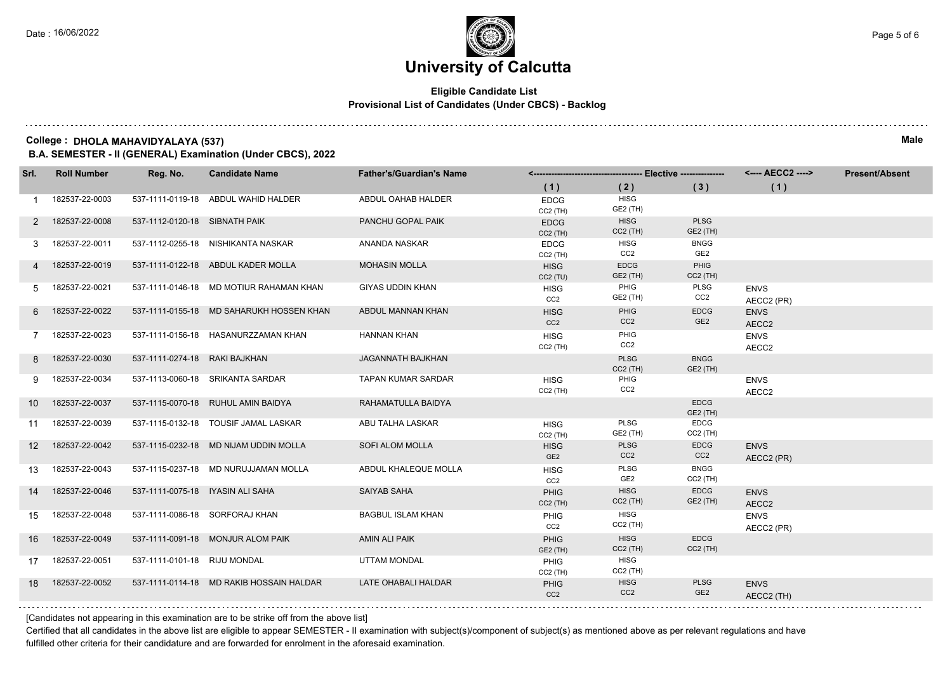## **Eligible Candidate List Provisional List of Candidates (Under CBCS) - Backlog**

### **College : DHOLA MAHAVIDYALAYA (537) Male**

**B.A. SEMESTER - II (GENERAL) Examination (Under CBCS), 2022**

| Srl.            | <b>Roll Number</b> | Reg. No.                         | <b>Candidate Name</b>                    | <b>Father's/Guardian's Name</b> |                                     |                                |                                |                           | <b>Present/Absent</b> |
|-----------------|--------------------|----------------------------------|------------------------------------------|---------------------------------|-------------------------------------|--------------------------------|--------------------------------|---------------------------|-----------------------|
|                 |                    |                                  |                                          |                                 | (1)                                 | (2)                            | (3)                            | (1)                       |                       |
|                 | 182537-22-0003     |                                  | 537-1111-0119-18 ABDUL WAHID HALDER      | ABDUL OAHAB HALDER              | <b>EDCG</b><br>CC2 (TH)             | <b>HISG</b><br>GE2 (TH)        |                                |                           |                       |
| 2               | 182537-22-0008     | 537-1112-0120-18 SIBNATH PAIK    |                                          | PANCHU GOPAL PAIK               | <b>EDCG</b><br>$CC2$ (TH)           | <b>HISG</b><br>$CC2$ (TH)      | <b>PLSG</b><br>GE2 (TH)        |                           |                       |
| 3               | 182537-22-0011     |                                  | 537-1112-0255-18 NISHIKANTA NASKAR       | ANANDA NASKAR                   | <b>EDCG</b><br>CC2 (TH)             | <b>HISG</b><br>CC <sub>2</sub> | <b>BNGG</b><br>GE <sub>2</sub> |                           |                       |
| 4               | 182537-22-0019     |                                  | 537-1111-0122-18 ABDUL KADER MOLLA       | <b>MOHASIN MOLLA</b>            | <b>HISG</b><br>CC <sub>2</sub> (TU) | <b>EDCG</b><br>GE2 (TH)        | PHIG<br>$CC2$ (TH)             |                           |                       |
| 5               | 182537-22-0021     |                                  | 537-1111-0146-18 MD MOTIUR RAHAMAN KHAN  | <b>GIYAS UDDIN KHAN</b>         | <b>HISG</b><br>CC <sub>2</sub>      | PHIG<br>GE2 (TH)               | <b>PLSG</b><br>CC <sub>2</sub> | <b>ENVS</b><br>AECC2 (PR) |                       |
| 6               | 182537-22-0022     |                                  | 537-1111-0155-18 MD SAHARUKH HOSSEN KHAN | ABDUL MANNAN KHAN               | <b>HISG</b><br>CC <sub>2</sub>      | PHIG<br>CC <sub>2</sub>        | <b>EDCG</b><br>GE <sub>2</sub> | <b>ENVS</b><br>AECC2      |                       |
|                 | 182537-22-0023     |                                  | 537-1111-0156-18 HASANURZZAMAN KHAN      | <b>HANNAN KHAN</b>              | <b>HISG</b><br>$CC2$ (TH)           | PHIG<br>CC <sub>2</sub>        |                                | <b>ENVS</b><br>AECC2      |                       |
| 8               | 182537-22-0030     | 537-1111-0274-18 RAKI BAJKHAN    |                                          | JAGANNATH BAJKHAN               |                                     | <b>PLSG</b><br>$CC2$ (TH)      | <b>BNGG</b><br>GE2 (TH)        |                           |                       |
| 9               | 182537-22-0034     |                                  | 537-1113-0060-18 SRIKANTA SARDAR         | <b>TAPAN KUMAR SARDAR</b>       | <b>HISG</b><br>$CC2$ (TH)           | PHIG<br>CC <sub>2</sub>        |                                | <b>ENVS</b><br>AECC2      |                       |
| 10              | 182537-22-0037     |                                  | 537-1115-0070-18 RUHUL AMIN BAIDYA       | RAHAMATULLA BAIDYA              |                                     |                                | <b>EDCG</b><br><b>GE2 (TH)</b> |                           |                       |
| 11              | 182537-22-0039     |                                  | 537-1115-0132-18 TOUSIF JAMAL LASKAR     | ABU TALHA LASKAR                | <b>HISG</b><br>CC2 (TH)             | <b>PLSG</b><br>GE2 (TH)        | <b>EDCG</b><br>$CC2$ (TH)      |                           |                       |
| 12 <sup>2</sup> | 182537-22-0042     |                                  | 537-1115-0232-18 MD NIJAM UDDIN MOLLA    | SOFI ALOM MOLLA                 | <b>HISG</b><br>GE <sub>2</sub>      | <b>PLSG</b><br>CC <sub>2</sub> | <b>EDCG</b><br>CC2             | <b>ENVS</b><br>AECC2 (PR) |                       |
| 13              | 182537-22-0043     |                                  | 537-1115-0237-18 MD NURUJJAMAN MOLLA     | ABDUL KHALEQUE MOLLA            | <b>HISG</b><br>CC <sub>2</sub>      | <b>PLSG</b><br>GE <sub>2</sub> | <b>BNGG</b><br>$CC2$ (TH)      |                           |                       |
| 14              | 182537-22-0046     | 537-1111-0075-18 IYASIN ALI SAHA |                                          | SAIYAB SAHA                     | <b>PHIG</b><br>$CC2$ (TH)           | <b>HISG</b><br>$CC2$ (TH)      | <b>EDCG</b><br>GE2 (TH)        | <b>ENVS</b><br>AECC2      |                       |
| 15              | 182537-22-0048     |                                  | 537-1111-0086-18 SORFORAJ KHAN           | <b>BAGBUL ISLAM KHAN</b>        | PHIG<br>CC <sub>2</sub>             | <b>HISG</b><br>$CC2$ (TH)      |                                | <b>ENVS</b><br>AECC2 (PR) |                       |
| 16              | 182537-22-0049     |                                  | 537-1111-0091-18 MONJUR ALOM PAIK        | AMIN ALI PAIK                   | <b>PHIG</b><br>GE2 (TH)             | <b>HISG</b><br>$CC2$ (TH)      | <b>EDCG</b><br>$CC2$ (TH)      |                           |                       |
| 17              | 182537-22-0051     | 537-1111-0101-18 RIJU MONDAL     |                                          | <b>UTTAM MONDAL</b>             | PHIG<br>$CC2$ (TH)                  | <b>HISG</b><br>$CC2$ (TH)      |                                |                           |                       |
| 18              | 182537-22-0052     |                                  | 537-1111-0114-18 MD RAKIB HOSSAIN HALDAR | LATE OHABALI HALDAR             | <b>PHIG</b><br>CC <sub>2</sub>      | <b>HISG</b><br>CC <sub>2</sub> | <b>PLSG</b><br>GE <sub>2</sub> | <b>ENVS</b><br>AECC2 (TH) |                       |

[Candidates not appearing in this examination are to be strike off from the above list]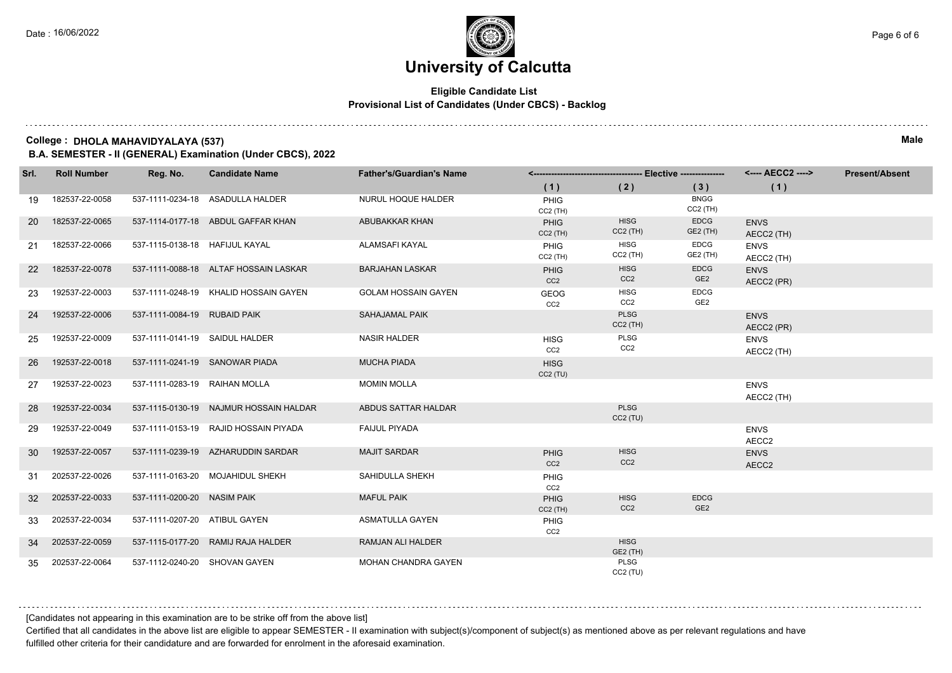## **Eligible Candidate List Provisional List of Candidates (Under CBCS) - Backlog**

### **College : DHOLA MAHAVIDYALAYA (537) Male**

**B.A. SEMESTER - II (GENERAL) Examination (Under CBCS), 2022**

| Srl.      | <b>Roll Number</b> | Reg. No.                       | <b>Candidate Name</b>                  | <b>Father's/Guardian's Name</b> |                                |                                |                                |                           | <b>Present/Absent</b> |
|-----------|--------------------|--------------------------------|----------------------------------------|---------------------------------|--------------------------------|--------------------------------|--------------------------------|---------------------------|-----------------------|
|           |                    |                                |                                        |                                 | (1)                            | (2)                            | (3)                            | (1)                       |                       |
| 19        | 182537-22-0058     |                                | 537-1111-0234-18 ASADULLA HALDER       | NURUL HOQUE HALDER              | PHIG<br>$CC2$ (TH)             |                                | <b>BNGG</b><br>$CC2$ (TH)      |                           |                       |
| <b>20</b> | 182537-22-0065     |                                | 537-1114-0177-18 ABDUL GAFFAR KHAN     | ABUBAKKAR KHAN                  | PHIG<br>$CC2$ (TH)             | <b>HISG</b><br>$CC2$ (TH)      | <b>EDCG</b><br>GE2 (TH)        | <b>ENVS</b><br>AECC2 (TH) |                       |
| 21        | 182537-22-0066     | 537-1115-0138-18 HAFIJUL KAYAL |                                        | ALAMSAFI KAYAL                  | PHIG<br>$CC2$ (TH)             | <b>HISG</b><br>$CC2$ (TH)      | <b>EDCG</b><br>GE2 (TH)        | <b>ENVS</b><br>AECC2 (TH) |                       |
| <b>22</b> | 182537-22-0078     |                                | 537-1111-0088-18 ALTAF HOSSAIN LASKAR  | <b>BARJAHAN LASKAR</b>          | PHIG<br>CC <sub>2</sub>        | <b>HISG</b><br>CC <sub>2</sub> | <b>EDCG</b><br>GE <sub>2</sub> | <b>ENVS</b><br>AECC2 (PR) |                       |
| 23        | 192537-22-0003     |                                | 537-1111-0248-19 KHALID HOSSAIN GAYEN  | <b>GOLAM HOSSAIN GAYEN</b>      | <b>GEOG</b><br>CC <sub>2</sub> | <b>HISG</b><br>CC <sub>2</sub> | <b>EDCG</b><br>GE <sub>2</sub> |                           |                       |
| 24        | 192537-22-0006     | 537-1111-0084-19 RUBAID PAIK   |                                        | <b>SAHAJAMAL PAIK</b>           |                                | <b>PLSG</b><br>$CC2$ (TH)      |                                | <b>ENVS</b><br>AECC2 (PR) |                       |
| 25        | 192537-22-0009     | 537-1111-0141-19 SAIDUL HALDER |                                        | <b>NASIR HALDER</b>             | <b>HISG</b><br>CC <sub>2</sub> | PLSG<br>CC <sub>2</sub>        |                                | <b>ENVS</b><br>AECC2 (TH) |                       |
| 26        | 192537-22-0018     | 537-1111-0241-19 SANOWAR PIADA |                                        | <b>MUCHA PIADA</b>              | <b>HISG</b><br>CC2(TU)         |                                |                                |                           |                       |
| 27        | 192537-22-0023     | 537-1111-0283-19 RAIHAN MOLLA  |                                        | <b>MOMIN MOLLA</b>              |                                |                                |                                | <b>ENVS</b><br>AECC2 (TH) |                       |
| 28        | 192537-22-0034     |                                | 537-1115-0130-19 NAJMUR HOSSAIN HALDAR | ABDUS SATTAR HALDAR             |                                | <b>PLSG</b><br>$CC2$ (TU)      |                                |                           |                       |
| 29        | 192537-22-0049     |                                | 537-1111-0153-19 RAJID HOSSAIN PIYADA  | <b>FAIJUL PIYADA</b>            |                                |                                |                                | <b>ENVS</b><br>AECC2      |                       |
| 30        | 192537-22-0057     |                                | 537-1111-0239-19 AZHARUDDIN SARDAR     | <b>MAJIT SARDAR</b>             | PHIG<br>CC <sub>2</sub>        | <b>HISG</b><br>CC <sub>2</sub> |                                | <b>ENVS</b><br>AECC2      |                       |
| 31        | 202537-22-0026     |                                | 537-1111-0163-20 MOJAHIDUL SHEKH       | SAHIDULLA SHEKH                 | PHIG<br>CC <sub>2</sub>        |                                |                                |                           |                       |
| 32        | 202537-22-0033     | 537-1111-0200-20 NASIM PAIK    |                                        | <b>MAFUL PAIK</b>               | PHIG<br>$CC2$ (TH)             | <b>HISG</b><br>CC <sub>2</sub> | <b>EDCG</b><br>GE <sub>2</sub> |                           |                       |
| 33        | 202537-22-0034     | 537-1111-0207-20 ATIBUL GAYEN  |                                        | <b>ASMATULLA GAYEN</b>          | PHIG<br>CC <sub>2</sub>        |                                |                                |                           |                       |
| 34        | 202537-22-0059     |                                | 537-1115-0177-20 RAMIJ RAJA HALDER     | RAMJAN ALI HALDER               |                                | <b>HISG</b><br><b>GE2 (TH)</b> |                                |                           |                       |
| 35        | 202537-22-0064     | 537-1112-0240-20 SHOVAN GAYEN  |                                        | <b>MOHAN CHANDRA GAYEN</b>      |                                | PLSG<br>$CC2$ (TU)             |                                |                           |                       |

[Candidates not appearing in this examination are to be strike off from the above list]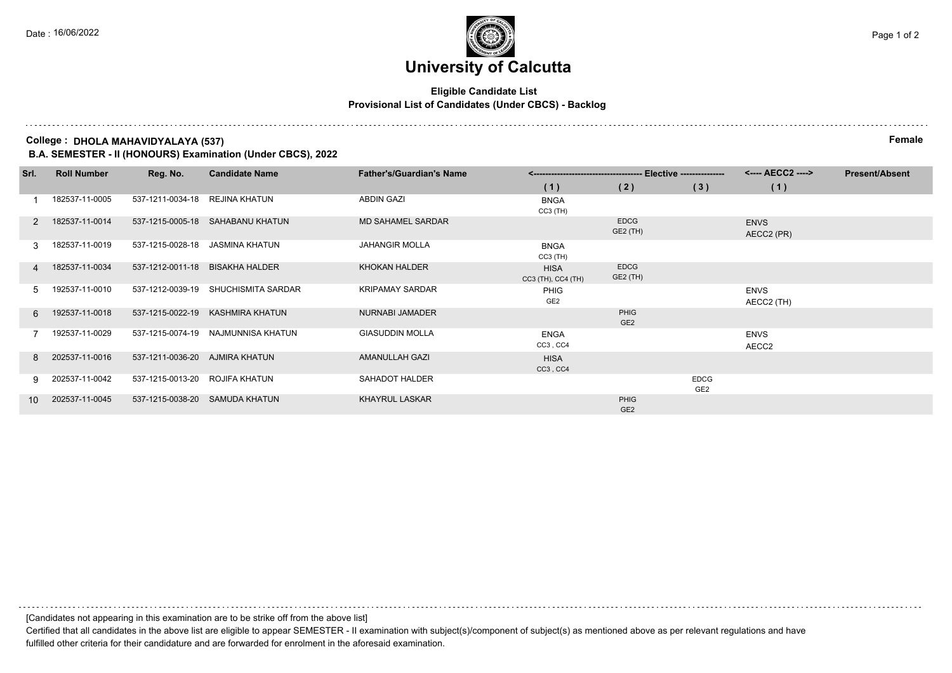## **Eligible Candidate List Provisional List of Candidates (Under CBCS) - Backlog**

**College : DHOLA MAHAVIDYALAYA (537) Female**

**B.A. SEMESTER - II (HONOURS) Examination (Under CBCS), 2022**

| Srl. | <b>Roll Number</b> | Reg. No.                        | <b>Candidate Name</b>               | <b>Father's/Guardian's Name</b> |                                   |                         |                                | <---- AECC2 ---->         | <b>Present/Absent</b> |
|------|--------------------|---------------------------------|-------------------------------------|---------------------------------|-----------------------------------|-------------------------|--------------------------------|---------------------------|-----------------------|
|      |                    |                                 |                                     |                                 | (1)                               | (2)                     | (3)                            | (1)                       |                       |
|      | 182537-11-0005     | 537-1211-0034-18                | REJINA KHATUN                       | <b>ABDIN GAZI</b>               | <b>BNGA</b><br>$CC3$ (TH)         |                         |                                |                           |                       |
| 2    | 182537-11-0014     |                                 | 537-1215-0005-18 SAHABANU KHATUN    | <b>MD SAHAMEL SARDAR</b>        |                                   | <b>EDCG</b><br>GE2 (TH) |                                | <b>ENVS</b><br>AECC2 (PR) |                       |
| 3    | 182537-11-0019     |                                 | 537-1215-0028-18 JASMINA KHATUN     | <b>JAHANGIR MOLLA</b>           | <b>BNGA</b><br>$CC3$ (TH)         |                         |                                |                           |                       |
| 4    | 182537-11-0034     | 537-1212-0011-18 BISAKHA HALDER |                                     | <b>KHOKAN HALDER</b>            | <b>HISA</b><br>CC3 (TH), CC4 (TH) | <b>EDCG</b><br>GE2 (TH) |                                |                           |                       |
| 5.   | 192537-11-0010     |                                 | 537-1212-0039-19 SHUCHISMITA SARDAR | <b>KRIPAMAY SARDAR</b>          | PHIG<br>GE <sub>2</sub>           |                         |                                | <b>ENVS</b><br>AECC2 (TH) |                       |
| 6    | 192537-11-0018     |                                 | 537-1215-0022-19 KASHMIRA KHATUN    | NURNABI JAMADER                 |                                   | PHIG<br>GE <sub>2</sub> |                                |                           |                       |
|      | 192537-11-0029     |                                 | 537-1215-0074-19 NAJMUNNISA KHATUN  | <b>GIASUDDIN MOLLA</b>          | <b>ENGA</b><br>CC3, CC4           |                         |                                | <b>ENVS</b><br>AECC2      |                       |
| 8    | 202537-11-0016     | 537-1211-0036-20 AJMIRA KHATUN  |                                     | <b>AMANULLAH GAZI</b>           | <b>HISA</b><br>CC3, CC4           |                         |                                |                           |                       |
| 9    | 202537-11-0042     | 537-1215-0013-20 ROJIFA KHATUN  |                                     | SAHADOT HALDER                  |                                   |                         | <b>EDCG</b><br>GE <sub>2</sub> |                           |                       |
| 10   | 202537-11-0045     |                                 | 537-1215-0038-20 SAMUDA KHATUN      | <b>KHAYRUL LASKAR</b>           |                                   | PHIG<br>GE <sub>2</sub> |                                |                           |                       |

[Candidates not appearing in this examination are to be strike off from the above list]